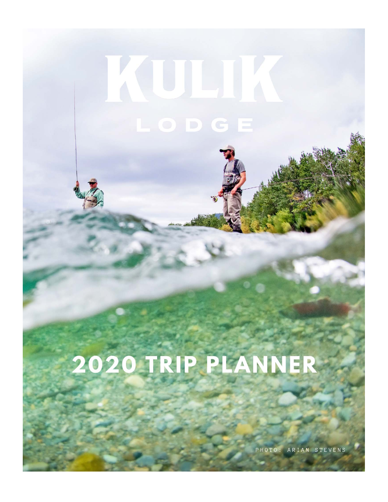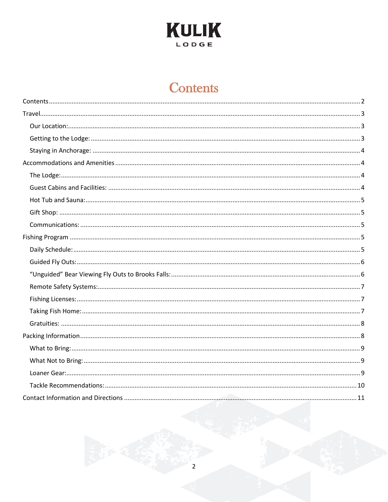

# **Contents**

<span id="page-1-0"></span>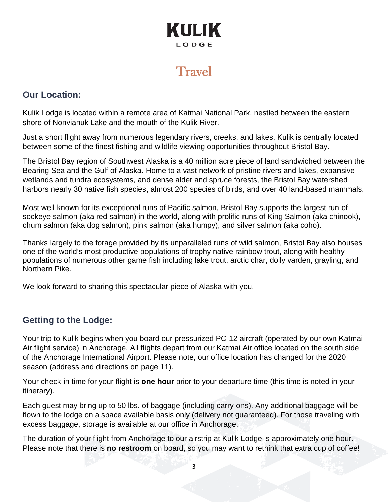# **Travel**

### <span id="page-2-1"></span><span id="page-2-0"></span>**Our Location:**

Kulik Lodge is located within a remote area of Katmai National Park, nestled between the eastern shore of Nonvianuk Lake and the mouth of the Kulik River.

Just a short flight away from numerous legendary rivers, creeks, and lakes, Kulik is centrally located between some of the finest fishing and wildlife viewing opportunities throughout Bristol Bay.

The Bristol Bay region of Southwest Alaska is a 40 million acre piece of land sandwiched between the Bearing Sea and the Gulf of Alaska. Home to a vast network of pristine rivers and lakes, expansive wetlands and tundra ecosystems, and dense alder and spruce forests, the Bristol Bay watershed harbors nearly 30 native fish species, almost 200 species of birds, and over 40 land-based mammals.

Most well-known for its exceptional runs of Pacific salmon, Bristol Bay supports the largest run of sockeye salmon (aka red salmon) in the world, along with prolific runs of King Salmon (aka chinook), chum salmon (aka dog salmon), pink salmon (aka humpy), and silver salmon (aka coho).

Thanks largely to the forage provided by its unparalleled runs of wild salmon, Bristol Bay also houses one of the world's most productive populations of trophy native rainbow trout, along with healthy populations of numerous other game fish including lake trout, arctic char, dolly varden, grayling, and Northern Pike.

We look forward to sharing this spectacular piece of Alaska with you.

## <span id="page-2-2"></span>**Getting to the Lodge:**

Your trip to Kulik begins when you board our pressurized PC-12 aircraft (operated by our own Katmai Air flight service) in Anchorage. All flights depart from our Katmai Air office located on the south side of the Anchorage International Airport. Please note, our office location has changed for the 2020 season (address and directions on page 11).

Your check-in time for your flight is **one hour** prior to your departure time (this time is noted in your itinerary).

Each guest may bring up to 50 lbs. of baggage (including carry-ons). Any additional baggage will be flown to the lodge on a space available basis only (delivery not guaranteed). For those traveling with excess baggage, storage is available at our office in Anchorage.

The duration of your flight from Anchorage to our airstrip at Kulik Lodge is approximately one hour. Please note that there is **no restroom** on board, so you may want to rethink that extra cup of coffee!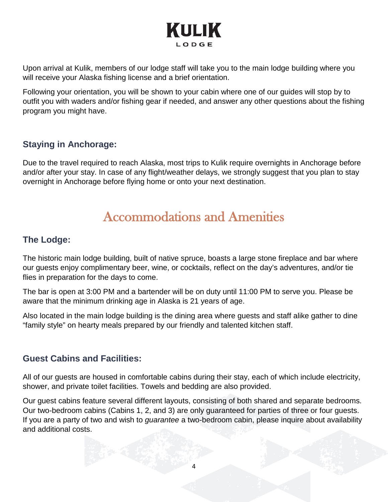Upon arrival at Kulik, members of our lodge staff will take you to the main lodge building where you will receive your Alaska fishing license and a brief orientation.

Following your orientation, you will be shown to your cabin where one of our guides will stop by to outfit you with waders and/or fishing gear if needed, and answer any other questions about the fishing program you might have.

## <span id="page-3-0"></span>**Staying in Anchorage:**

Due to the travel required to reach Alaska, most trips to Kulik require overnights in Anchorage before and/or after your stay. In case of any flight/weather delays, we strongly suggest that you plan to stay overnight in Anchorage before flying home or onto your next destination.

# Accommodations and Amenities

### <span id="page-3-2"></span><span id="page-3-1"></span>**The Lodge:**

The historic main lodge building, built of native spruce, boasts a large stone fireplace and bar where our guests enjoy complimentary beer, wine, or cocktails, reflect on the day's adventures, and/or tie flies in preparation for the days to come.

The bar is open at 3:00 PM and a bartender will be on duty until 11:00 PM to serve you. Please be aware that the minimum drinking age in Alaska is 21 years of age.

Also located in the main lodge building is the dining area where guests and staff alike gather to dine "family style" on hearty meals prepared by our friendly and talented kitchen staff.

### <span id="page-3-3"></span>**Guest Cabins and Facilities:**

All of our guests are housed in comfortable cabins during their stay, each of which include electricity, shower, and private toilet facilities. Towels and bedding are also provided.

Our guest cabins feature several different layouts, consisting of both shared and separate bedrooms. Our two-bedroom cabins (Cabins 1, 2, and 3) are only guaranteed for parties of three or four guests. If you are a party of two and wish to *guarantee* a two-bedroom cabin, please inquire about availability and additional costs.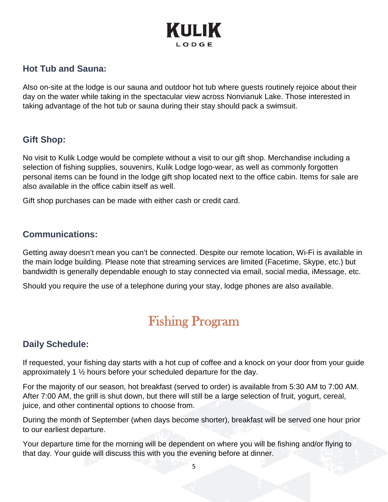### <span id="page-4-0"></span>**Hot Tub and Sauna:**

Also on-site at the lodge is our sauna and outdoor hot tub where guests routinely rejoice about their day on the water while taking in the spectacular view across Nonvianuk Lake. Those interested in taking advantage of the hot tub or sauna during their stay should pack a swimsuit.

#### <span id="page-4-1"></span>**Gift Shop:**

No visit to Kulik Lodge would be complete without a visit to our gift shop. Merchandise including a selection of fishing supplies, souvenirs, Kulik Lodge logo-wear, as well as commonly forgotten personal items can be found in the lodge gift shop located next to the office cabin. Items for sale are also available in the office cabin itself as well.

Gift shop purchases can be made with either cash or credit card.

#### <span id="page-4-2"></span>**Communications:**

Getting away doesn't mean you can't be connected. Despite our remote location, Wi-Fi is available in the main lodge building. Please note that streaming services are limited (Facetime, Skype, etc.) but bandwidth is generally dependable enough to stay connected via email, social media, iMessage, etc.

<span id="page-4-3"></span>Should you require the use of a telephone during your stay, lodge phones are also available.

# Fishing Program

## <span id="page-4-4"></span>**Daily Schedule:**

If requested, your fishing day starts with a hot cup of coffee and a knock on your door from your guide approximately 1 ½ hours before your scheduled departure for the day.

For the majority of our season, hot breakfast (served to order) is available from 5:30 AM to 7:00 AM. After 7:00 AM, the grill is shut down, but there will still be a large selection of fruit, yogurt, cereal, juice, and other continental options to choose from.

During the month of September (when days become shorter), breakfast will be served one hour prior to our earliest departure.

Your departure time for the morning will be dependent on where you will be fishing and/or flying to that day. Your guide will discuss this with you the evening before at dinner.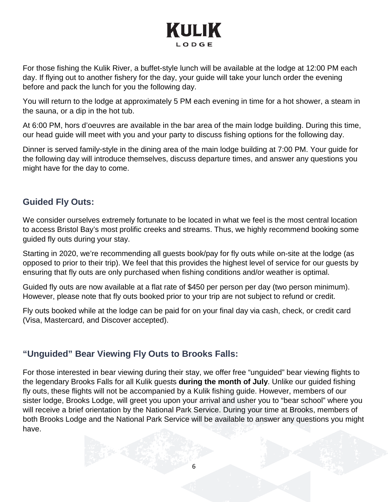For those fishing the Kulik River, a buffet-style lunch will be available at the lodge at 12:00 PM each day. If flying out to another fishery for the day, your guide will take your lunch order the evening before and pack the lunch for you the following day.

You will return to the lodge at approximately 5 PM each evening in time for a hot shower, a steam in the sauna, or a dip in the hot tub.

At 6:00 PM, hors d'oeuvres are available in the bar area of the main lodge building. During this time, our head guide will meet with you and your party to discuss fishing options for the following day.

Dinner is served family-style in the dining area of the main lodge building at 7:00 PM. Your guide for the following day will introduce themselves, discuss departure times, and answer any questions you might have for the day to come.

### <span id="page-5-0"></span>**Guided Fly Outs:**

We consider ourselves extremely fortunate to be located in what we feel is the most central location to access Bristol Bay's most prolific creeks and streams. Thus, we highly recommend booking some guided fly outs during your stay.

Starting in 2020, we're recommending all guests book/pay for fly outs while on-site at the lodge (as opposed to prior to their trip). We feel that this provides the highest level of service for our guests by ensuring that fly outs are only purchased when fishing conditions and/or weather is optimal.

Guided fly outs are now available at a flat rate of \$450 per person per day (two person minimum). However, please note that fly outs booked prior to your trip are not subject to refund or credit.

Fly outs booked while at the lodge can be paid for on your final day via cash, check, or credit card (Visa, Mastercard, and Discover accepted).

## <span id="page-5-1"></span>**"Unguided" Bear Viewing Fly Outs to Brooks Falls:**

For those interested in bear viewing during their stay, we offer free "unguided" bear viewing flights to the legendary Brooks Falls for all Kulik guests **during the month of July**. Unlike our guided fishing fly outs, these flights will not be accompanied by a Kulik fishing guide. However, members of our sister lodge, Brooks Lodge, will greet you upon your arrival and usher you to "bear school" where you will receive a brief orientation by the National Park Service. During your time at Brooks, members of both Brooks Lodge and the National Park Service will be available to answer any questions you might have.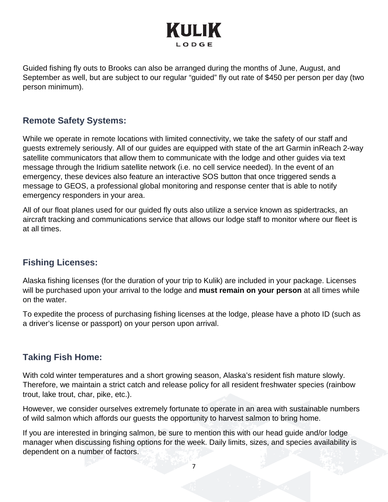Guided fishing fly outs to Brooks can also be arranged during the months of June, August, and September as well, but are subject to our regular "guided" fly out rate of \$450 per person per day (two person minimum).

### <span id="page-6-0"></span>**Remote Safety Systems:**

While we operate in remote locations with limited connectivity, we take the safety of our staff and guests extremely seriously. All of our guides are equipped with state of the art Garmin inReach 2-way satellite communicators that allow them to communicate with the lodge and other guides via text message through the Iridium satellite network (i.e. no cell service needed). In the event of an emergency, these devices also feature an interactive SOS button that once triggered sends a message to GEOS, a professional global monitoring and response center that is able to notify emergency responders in your area.

All of our float planes used for our guided fly outs also utilize a service known as spidertracks, an aircraft tracking and communications service that allows our lodge staff to monitor where our fleet is at all times.

## <span id="page-6-1"></span>**Fishing Licenses:**

Alaska fishing licenses (for the duration of your trip to Kulik) are included in your package. Licenses will be purchased upon your arrival to the lodge and **must remain on your person** at all times while on the water.

To expedite the process of purchasing fishing licenses at the lodge, please have a photo ID (such as a driver's license or passport) on your person upon arrival.

### <span id="page-6-2"></span>**Taking Fish Home:**

With cold winter temperatures and a short growing season, Alaska's resident fish mature slowly. Therefore, we maintain a strict catch and release policy for all resident freshwater species (rainbow trout, lake trout, char, pike, etc.).

However, we consider ourselves extremely fortunate to operate in an area with sustainable numbers of wild salmon which affords our guests the opportunity to harvest salmon to bring home.

If you are interested in bringing salmon, be sure to mention this with our head guide and/or lodge manager when discussing fishing options for the week. Daily limits, sizes, and species availability is dependent on a number of factors.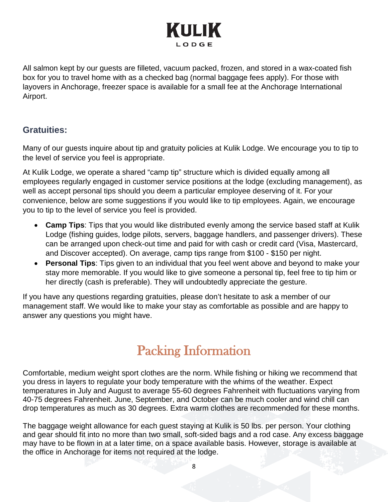All salmon kept by our guests are filleted, vacuum packed, frozen, and stored in a wax-coated fish box for you to travel home with as a checked bag (normal baggage fees apply). For those with layovers in Anchorage, freezer space is available for a small fee at the Anchorage International Airport.

### <span id="page-7-0"></span>**Gratuities:**

Many of our guests inquire about tip and gratuity policies at Kulik Lodge. We encourage you to tip to the level of service you feel is appropriate.

At Kulik Lodge, we operate a shared "camp tip" structure which is divided equally among all employees regularly engaged in customer service positions at the lodge (excluding management), as well as accept personal tips should you deem a particular employee deserving of it. For your convenience, below are some suggestions if you would like to tip employees. Again, we encourage you to tip to the level of service you feel is provided.

- **Camp Tips**: Tips that you would like distributed evenly among the service based staff at Kulik Lodge (fishing guides, lodge pilots, servers, baggage handlers, and passenger drivers). These can be arranged upon check-out time and paid for with cash or credit card (Visa, Mastercard, and Discover accepted). On average, camp tips range from \$100 - \$150 per night.
- **Personal Tips**: Tips given to an individual that you feel went above and beyond to make your stay more memorable. If you would like to give someone a personal tip, feel free to tip him or her directly (cash is preferable). They will undoubtedly appreciate the gesture.

If you have any questions regarding gratuities, please don't hesitate to ask a member of our management staff. We would like to make your stay as comfortable as possible and are happy to answer any questions you might have.

# Packing Information

<span id="page-7-1"></span>Comfortable, medium weight sport clothes are the norm. While fishing or hiking we recommend that you dress in layers to regulate your body temperature with the whims of the weather. Expect temperatures in July and August to average 55-60 degrees Fahrenheit with fluctuations varying from 40-75 degrees Fahrenheit. June, September, and October can be much cooler and wind chill can drop temperatures as much as 30 degrees. Extra warm clothes are recommended for these months.

The baggage weight allowance for each guest staying at Kulik is 50 lbs. per person. Your clothing and gear should fit into no more than two small, soft-sided bags and a rod case. Any excess baggage may have to be flown in at a later time, on a space available basis. However, storage is available at the office in Anchorage for items not required at the lodge.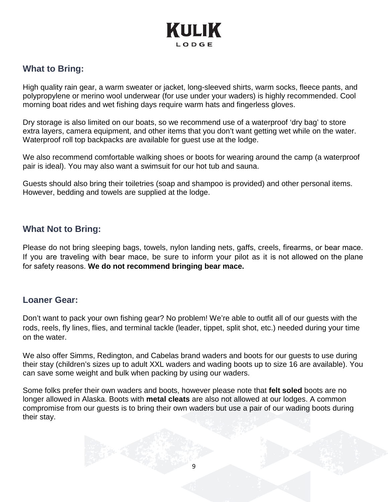### <span id="page-8-0"></span>**What to Bring:**

High quality rain gear, a warm sweater or jacket, long-sleeved shirts, warm socks, fleece pants, and polypropylene or merino wool underwear (for use under your waders) is highly recommended. Cool morning boat rides and wet fishing days require warm hats and fingerless gloves.

Dry storage is also limited on our boats, so we recommend use of a waterproof 'dry bag' to store extra layers, camera equipment, and other items that you don't want getting wet while on the water. Waterproof roll top backpacks are available for guest use at the lodge.

We also recommend comfortable walking shoes or boots for wearing around the camp (a waterproof pair is ideal). You may also want a swimsuit for our hot tub and sauna.

Guests should also bring their toiletries (soap and shampoo is provided) and other personal items. However, bedding and towels are supplied at the lodge.

#### <span id="page-8-1"></span>**What Not to Bring:**

Please do not bring sleeping bags, towels, nylon landing nets, gaffs, creels, firearms, or bear mace. If you are traveling with bear mace, be sure to inform your pilot as it is not allowed on the plane for safety reasons. **We do not recommend bringing bear mace.**

#### <span id="page-8-2"></span>**Loaner Gear:**

Don't want to pack your own fishing gear? No problem! We're able to outfit all of our guests with the rods, reels, fly lines, flies, and terminal tackle (leader, tippet, split shot, etc.) needed during your time on the water.

We also offer Simms, Redington, and Cabelas brand waders and boots for our guests to use during their stay (children's sizes up to adult XXL waders and wading boots up to size 16 are available). You can save some weight and bulk when packing by using our waders.

Some folks prefer their own waders and boots, however please note that **felt soled** boots are no longer allowed in Alaska. Boots with **metal cleats** are also not allowed at our lodges. A common compromise from our guests is to bring their own waders but use a pair of our wading boots during their stay.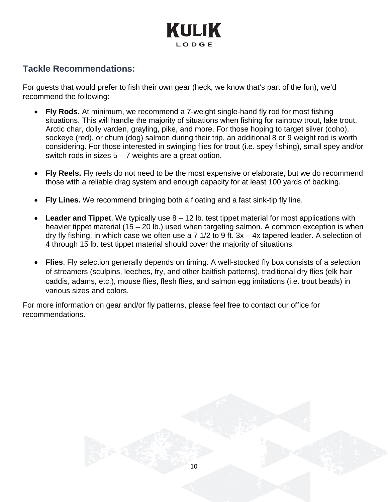

### <span id="page-9-0"></span>**Tackle Recommendations:**

For guests that would prefer to fish their own gear (heck, we know that's part of the fun), we'd recommend the following:

- **Fly Rods.** At minimum, we recommend a 7-weight single-hand fly rod for most fishing situations. This will handle the majority of situations when fishing for rainbow trout, lake trout, Arctic char, dolly varden, grayling, pike, and more. For those hoping to target silver (coho), sockeye (red), or chum (dog) salmon during their trip, an additional 8 or 9 weight rod is worth considering. For those interested in swinging flies for trout (i.e. spey fishing), small spey and/or switch rods in sizes  $5 - 7$  weights are a great option.
- **Fly Reels.** Fly reels do not need to be the most expensive or elaborate, but we do recommend those with a reliable drag system and enough capacity for at least 100 yards of backing.
- **Fly Lines.** We recommend bringing both a floating and a fast sink-tip fly line.
- **Leader and Tippet**. We typically use 8 12 lb. test tippet material for most applications with heavier tippet material (15 – 20 lb.) used when targeting salmon. A common exception is when dry fly fishing, in which case we often use a 7 1/2 to 9 ft. 3x – 4x tapered leader. A selection of 4 through 15 lb. test tippet material should cover the majority of situations.
- **Flies**. Fly selection generally depends on timing. A well-stocked fly box consists of a selection of streamers (sculpins, leeches, fry, and other baitfish patterns), traditional dry flies (elk hair caddis, adams, etc.), mouse flies, flesh flies, and salmon egg imitations (i.e. trout beads) in various sizes and colors.

10

For more information on gear and/or fly patterns, please feel free to contact our office for recommendations.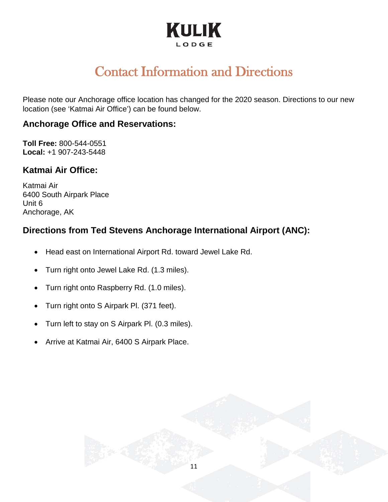# Contact Information and Directions

<span id="page-10-0"></span>Please note our Anchorage office location has changed for the 2020 season. Directions to our new location (see 'Katmai Air Office') can be found below.

#### **Anchorage Office and Reservations:**

**Toll Free:** 800-544-0551 **Local:** +1 907-243-5448

### **Katmai Air Office:**

Katmai Air 6400 South Airpark Place Unit 6 Anchorage, AK

## **Directions from Ted Stevens Anchorage International Airport (ANC):**

- Head east on International Airport Rd. toward Jewel Lake Rd.
- Turn right onto Jewel Lake Rd. (1.3 miles).
- Turn right onto Raspberry Rd. (1.0 miles).
- Turn right onto S Airpark Pl. (371 feet).
- Turn left to stay on S Airpark Pl. (0.3 miles).
- Arrive at Katmai Air, 6400 S Airpark Place.